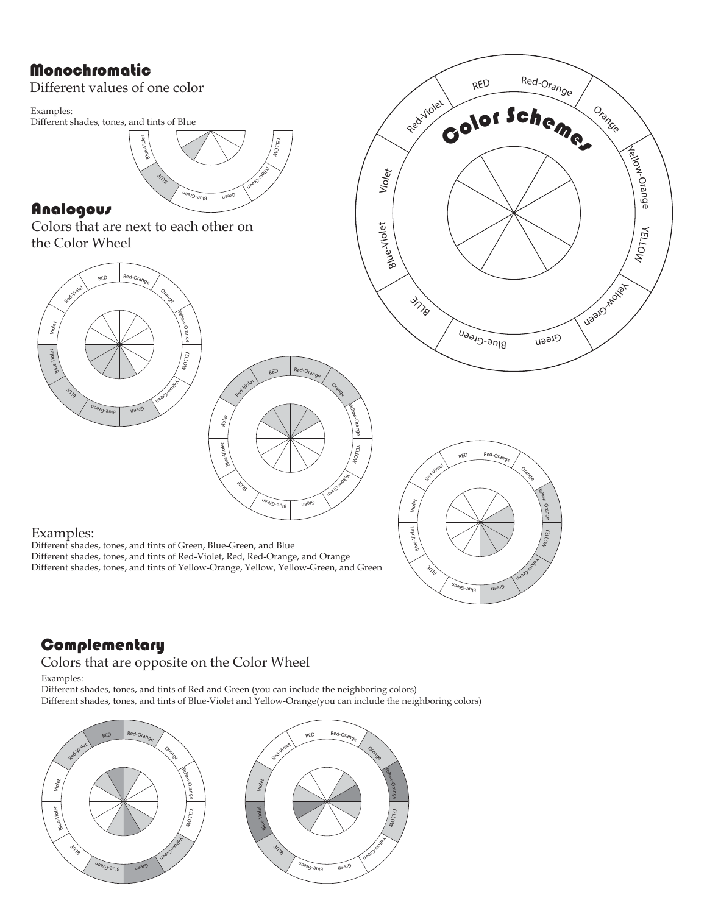## Monochromatic

Different values of one color

Examples: Different shades, tones, and tints of Blue



## Analogous

Colors that are next to each other on the Color Wheel







### Examples:

Different shades, tones, and tints of Green, Blue-Green, and Blue Different shades, tones, and tints of Red-Violet, Red, Red-Orange, and Orange Different shades, tones, and tints of Yellow-Orange, Yellow, Yellow-Green, and Green

# **Complementary**

### Colors that are opposite on the Color Wheel

Examples:

Different shades, tones, and tints of Red and Green (you can include the neighboring colors) Different shades, tones, and tints of Blue-Violet and Yellow-Orange(you can include the neighboring colors)





Yellow-Orage YELLOW

Ugal O'Rollah